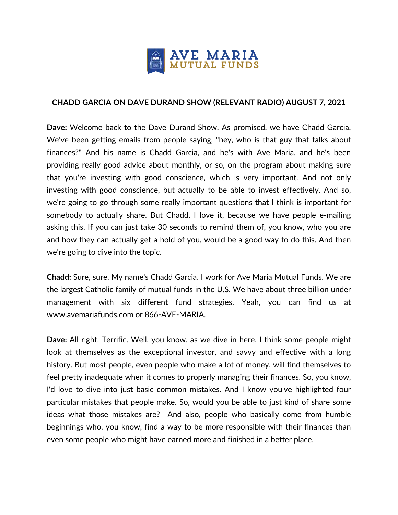

## **CHADD GARCIA ON DAVE DURAND SHOW (RELEVANT RADIO) AUGUST 7, 2021**

**Dave:** Welcome back to the Dave Durand Show. As promised, we have Chadd Garcia. We've been getting emails from people saying, "hey, who is that guy that talks about finances?" And his name is Chadd Garcia, and he's with Ave Maria, and he's been providing really good advice about monthly, or so, on the program about making sure that you're investing with good conscience, which is very important. And not only investing with good conscience, but actually to be able to invest effectively. And so, we're going to go through some really important questions that I think is important for somebody to actually share. But Chadd, I love it, because we have people e-mailing asking this. If you can just take 30 seconds to remind them of, you know, who you are and how they can actually get a hold of you, would be a good way to do this. And then we're going to dive into the topic.

**Chadd:** Sure, sure. My name's Chadd Garcia. I work for Ave Maria Mutual Funds. We are the largest Catholic family of mutual funds in the U.S. We have about three billion under management with six different fund strategies. Yeah, you can find us at www.avemariafunds.com or 866-AVE-MARIA.

**Dave:** All right. Terrific. Well, you know, as we dive in here, I think some people might look at themselves as the exceptional investor, and savvy and effective with a long history. But most people, even people who make a lot of money, will find themselves to feel pretty inadequate when it comes to properly managing their finances. So, you know, I'd love to dive into just basic common mistakes. And I know you've highlighted four particular mistakes that people make. So, would you be able to just kind of share some ideas what those mistakes are? And also, people who basically come from humble beginnings who, you know, find a way to be more responsible with their finances than even some people who might have earned more and finished in a better place.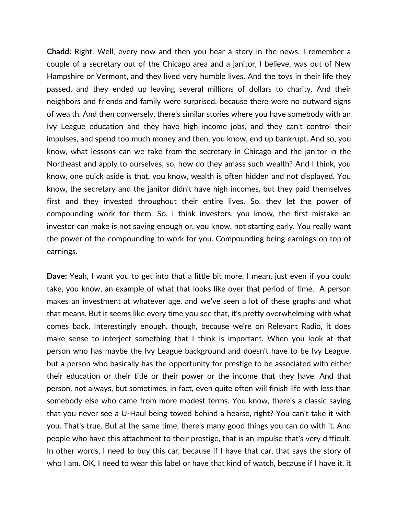**Chadd:** Right. Well, every now and then you hear a story in the news. I remember a couple of a secretary out of the Chicago area and a janitor, I believe, was out of New Hampshire or Vermont, and they lived very humble lives. And the toys in their life they passed, and they ended up leaving several millions of dollars to charity. And their neighbors and friends and family were surprised, because there were no outward signs of wealth. And then conversely, there's similar stories where you have somebody with an Ivy League education and they have high income jobs, and they can't control their impulses, and spend too much money and then, you know, end up bankrupt. And so, you know, what lessons can we take from the secretary in Chicago and the janitor in the Northeast and apply to ourselves, so, how do they amass such wealth? And I think, you know, one quick aside is that, you know, wealth is often hidden and not displayed. You know, the secretary and the janitor didn't have high incomes, but they paid themselves first and they invested throughout their entire lives. So, they let the power of compounding work for them. So, I think investors, you know, the first mistake an investor can make is not saving enough or, you know, not starting early. You really want the power of the compounding to work for you. Compounding being earnings on top of earnings.

**Dave:** Yeah, I want you to get into that a little bit more, I mean, just even if you could take, you know, an example of what that looks like over that period of time. A person makes an investment at whatever age, and we've seen a lot of these graphs and what that means. But it seems like every time you see that, it's pretty overwhelming with what comes back. Interestingly enough, though, because we're on Relevant Radio, it does make sense to interject something that I think is important. When you look at that person who has maybe the Ivy League background and doesn't have to be Ivy League, but a person who basically has the opportunity for prestige to be associated with either their education or their title or their power or the income that they have. And that person, not always, but sometimes, in fact, even quite often will finish life with less than somebody else who came from more modest terms. You know, there's a classic saying that you never see a U-Haul being towed behind a hearse, right? You can't take it with you. That's true. But at the same time, there's many good things you can do with it. And people who have this attachment to their prestige, that is an impulse that's very difficult. In other words, I need to buy this car, because if I have that car, that says the story of who I am. OK, I need to wear this label or have that kind of watch, because if I have it, it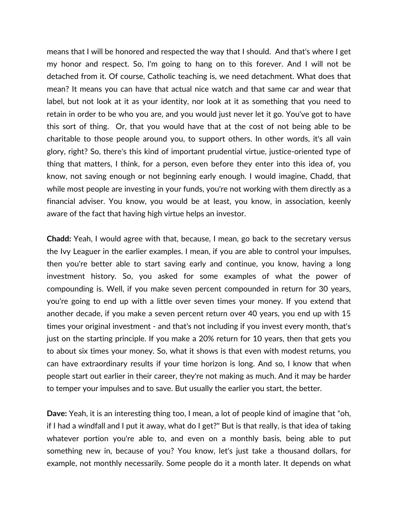means that I will be honored and respected the way that I should. And that's where I get my honor and respect. So, I'm going to hang on to this forever. And I will not be detached from it. Of course, Catholic teaching is, we need detachment. What does that mean? It means you can have that actual nice watch and that same car and wear that label, but not look at it as your identity, nor look at it as something that you need to retain in order to be who you are, and you would just never let it go. You've got to have this sort of thing. Or, that you would have that at the cost of not being able to be charitable to those people around you, to support others. In other words, it's all vain glory, right? So, there's this kind of important prudential virtue, justice-oriented type of thing that matters, I think, for a person, even before they enter into this idea of, you know, not saving enough or not beginning early enough. I would imagine, Chadd, that while most people are investing in your funds, you're not working with them directly as a financial adviser. You know, you would be at least, you know, in association, keenly aware of the fact that having high virtue helps an investor.

**Chadd:** Yeah, I would agree with that, because, I mean, go back to the secretary versus the Ivy Leaguer in the earlier examples. I mean, if you are able to control your impulses, then you're better able to start saving early and continue, you know, having a long investment history. So, you asked for some examples of what the power of compounding is. Well, if you make seven percent compounded in return for 30 years, you're going to end up with a little over seven times your money. If you extend that another decade, if you make a seven percent return over 40 years, you end up with 15 times your original investment - and that's not including if you invest every month, that's just on the starting principle. If you make a 20% return for 10 years, then that gets you to about six times your money. So, what it shows is that even with modest returns, you can have extraordinary results if your time horizon is long. And so, I know that when people start out earlier in their career, they're not making as much. And it may be harder to temper your impulses and to save. But usually the earlier you start, the better.

**Dave:** Yeah, it is an interesting thing too, I mean, a lot of people kind of imagine that "oh, if I had a windfall and I put it away, what do I get?" But is that really, is that idea of taking whatever portion you're able to, and even on a monthly basis, being able to put something new in, because of you? You know, let's just take a thousand dollars, for example, not monthly necessarily. Some people do it a month later. It depends on what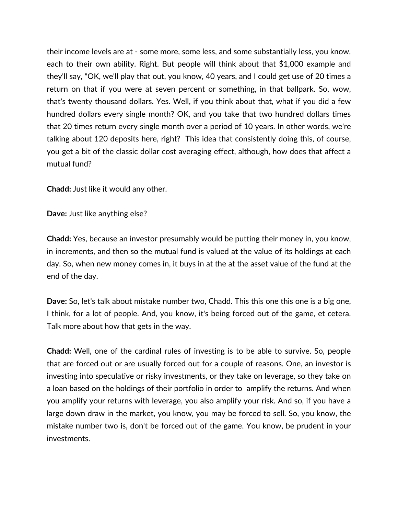their income levels are at - some more, some less, and some substantially less, you know, each to their own ability. Right. But people will think about that \$1,000 example and they'll say, "OK, we'll play that out, you know, 40 years, and I could get use of 20 times a return on that if you were at seven percent or something, in that ballpark. So, wow, that's twenty thousand dollars. Yes. Well, if you think about that, what if you did a few hundred dollars every single month? OK, and you take that two hundred dollars times that 20 times return every single month over a period of 10 years. In other words, we're talking about 120 deposits here, right? This idea that consistently doing this, of course, you get a bit of the classic dollar cost averaging effect, although, how does that affect a mutual fund?

**Chadd:** Just like it would any other.

**Dave:** Just like anything else?

**Chadd:** Yes, because an investor presumably would be putting their money in, you know, in increments, and then so the mutual fund is valued at the value of its holdings at each day. So, when new money comes in, it buys in at the at the asset value of the fund at the end of the day.

**Dave:** So, let's talk about mistake number two, Chadd. This this one this one is a big one, I think, for a lot of people. And, you know, it's being forced out of the game, et cetera. Talk more about how that gets in the way.

**Chadd:** Well, one of the cardinal rules of investing is to be able to survive. So, people that are forced out or are usually forced out for a couple of reasons. One, an investor is investing into speculative or risky investments, or they take on leverage, so they take on a loan based on the holdings of their portfolio in order to amplify the returns. And when you amplify your returns with leverage, you also amplify your risk. And so, if you have a large down draw in the market, you know, you may be forced to sell. So, you know, the mistake number two is, don't be forced out of the game. You know, be prudent in your investments.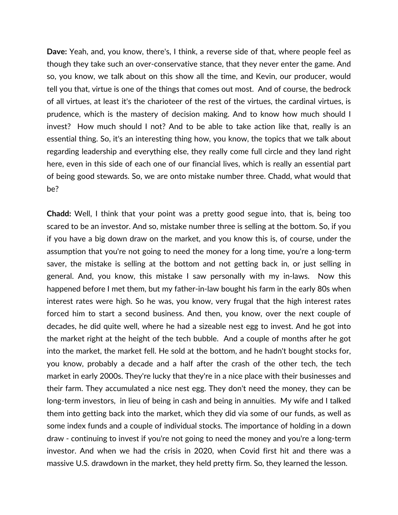**Dave:** Yeah, and, you know, there's, I think, a reverse side of that, where people feel as though they take such an over-conservative stance, that they never enter the game. And so, you know, we talk about on this show all the time, and Kevin, our producer, would tell you that, virtue is one of the things that comes out most. And of course, the bedrock of all virtues, at least it's the charioteer of the rest of the virtues, the cardinal virtues, is prudence, which is the mastery of decision making. And to know how much should I invest? How much should I not? And to be able to take action like that, really is an essential thing. So, it's an interesting thing how, you know, the topics that we talk about regarding leadership and everything else, they really come full circle and they land right here, even in this side of each one of our financial lives, which is really an essential part of being good stewards. So, we are onto mistake number three. Chadd, what would that be?

**Chadd:** Well, I think that your point was a pretty good segue into, that is, being too scared to be an investor. And so, mistake number three is selling at the bottom. So, if you if you have a big down draw on the market, and you know this is, of course, under the assumption that you're not going to need the money for a long time, you're a long-term saver, the mistake is selling at the bottom and not getting back in, or just selling in general. And, you know, this mistake I saw personally with my in-laws. Now this happened before I met them, but my father-in-law bought his farm in the early 80s when interest rates were high. So he was, you know, very frugal that the high interest rates forced him to start a second business. And then, you know, over the next couple of decades, he did quite well, where he had a sizeable nest egg to invest. And he got into the market right at the height of the tech bubble. And a couple of months after he got into the market, the market fell. He sold at the bottom, and he hadn't bought stocks for, you know, probably a decade and a half after the crash of the other tech, the tech market in early 2000s. They're lucky that they're in a nice place with their businesses and their farm. They accumulated a nice nest egg. They don't need the money, they can be long-term investors, in lieu of being in cash and being in annuities. My wife and I talked them into getting back into the market, which they did via some of our funds, as well as some index funds and a couple of individual stocks. The importance of holding in a down draw - continuing to invest if you're not going to need the money and you're a long-term investor. And when we had the crisis in 2020, when Covid first hit and there was a massive U.S. drawdown in the market, they held pretty firm. So, they learned the lesson.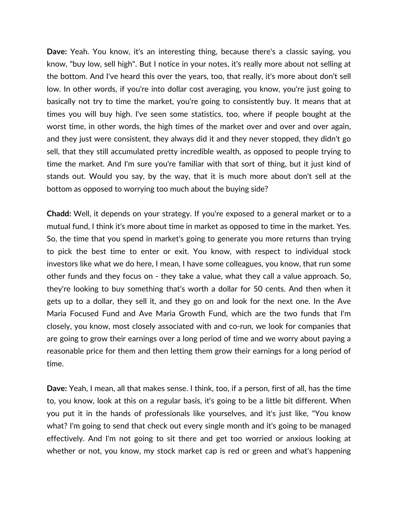**Dave:** Yeah. You know, it's an interesting thing, because there's a classic saying, you know, "buy low, sell high". But I notice in your notes, it's really more about not selling at the bottom. And I've heard this over the years, too, that really, it's more about don't sell low. In other words, if you're into dollar cost averaging, you know, you're just going to basically not try to time the market, you're going to consistently buy. It means that at times you will buy high. I've seen some statistics, too, where if people bought at the worst time, in other words, the high times of the market over and over and over again, and they just were consistent, they always did it and they never stopped, they didn't go sell, that they still accumulated pretty incredible wealth, as opposed to people trying to time the market. And I'm sure you're familiar with that sort of thing, but it just kind of stands out. Would you say, by the way, that it is much more about don't sell at the bottom as opposed to worrying too much about the buying side?

**Chadd:** Well, it depends on your strategy. If you're exposed to a general market or to a mutual fund, I think it's more about time in market as opposed to time in the market. Yes. So, the time that you spend in market's going to generate you more returns than trying to pick the best time to enter or exit. You know, with respect to individual stock investors like what we do here, I mean, I have some colleagues, you know, that run some other funds and they focus on - they take a value, what they call a value approach. So, they're looking to buy something that's worth a dollar for 50 cents. And then when it gets up to a dollar, they sell it, and they go on and look for the next one. In the Ave Maria Focused Fund and Ave Maria Growth Fund, which are the two funds that I'm closely, you know, most closely associated with and co-run, we look for companies that are going to grow their earnings over a long period of time and we worry about paying a reasonable price for them and then letting them grow their earnings for a long period of time.

**Dave:** Yeah, I mean, all that makes sense. I think, too, if a person, first of all, has the time to, you know, look at this on a regular basis, it's going to be a little bit different. When you put it in the hands of professionals like yourselves, and it's just like, "You know what? I'm going to send that check out every single month and it's going to be managed effectively. And I'm not going to sit there and get too worried or anxious looking at whether or not, you know, my stock market cap is red or green and what's happening